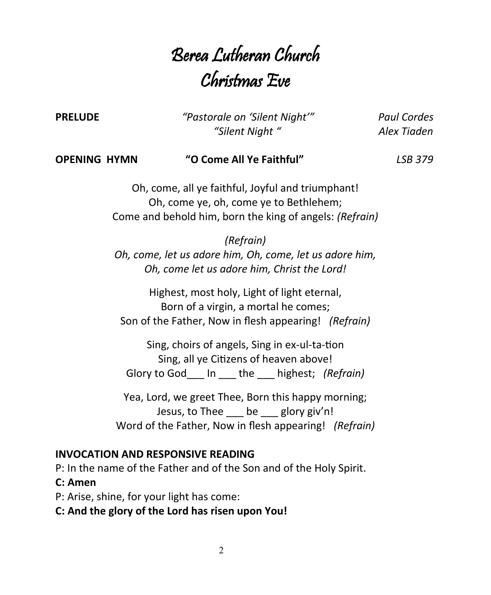# Berea Lutheran Church Christmas Eve

**PRELUDE** *"Pastorale on 'Silent Night'" Paul Cordes "Silent Night " Alex Tiaden*

### **OPENING HYMN "O Come All Ye Faithful"** *LSB 379*

Oh, come, all ye faithful, Joyful and triumphant! Oh, come ye, oh, come ye to Bethlehem; Come and behold him, born the king of angels: *(Refrain)*

*(Refrain) Oh, come, let us adore him, Oh, come, let us adore him, Oh, come let us adore him, Christ the Lord!*

Highest, most holy, Light of light eternal, Born of a virgin, a mortal he comes; Son of the Father, Now in flesh appearing! *(Refrain)*

Sing, choirs of angels, Sing in ex-ul-ta-tion Sing, all ye Citizens of heaven above! Glory to God\_\_\_ In \_\_\_ the \_\_\_ highest; *(Refrain)*

Yea, Lord, we greet Thee, Born this happy morning; Jesus, to Thee be glory giv'n! Word of the Father, Now in flesh appearing! *(Refrain)*

### **INVOCATION AND RESPONSIVE READING**

P: In the name of the Father and of the Son and of the Holy Spirit.

- **C: Amen**
- P: Arise, shine, for your light has come:
- **C: And the glory of the Lord has risen upon You!**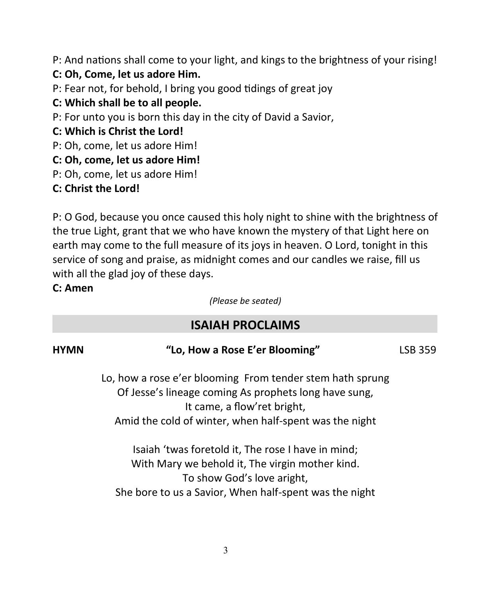P: And nations shall come to your light, and kings to the brightness of your rising! **C: Oh, Come, let us adore Him.**

P: Fear not, for behold, I bring you good tidings of great joy

**C: Which shall be to all people.**

P: For unto you is born this day in the city of David a Savior,

**C: Which is Christ the Lord!**

P: Oh, come, let us adore Him!

**C: Oh, come, let us adore Him!**

P: Oh, come, let us adore Him!

**C: Christ the Lord!**

P: O God, because you once caused this holy night to shine with the brightness of the true Light, grant that we who have known the mystery of that Light here on earth may come to the full measure of its joys in heaven. O Lord, tonight in this service of song and praise, as midnight comes and our candles we raise, fill us with all the glad joy of these days.

### **C: Amen**

*(Please be seated)*

# **ISAIAH PROCLAIMS**

| <b>HYMN</b> | "Lo, How a Rose E'er Blooming" | LSB 359 |
|-------------|--------------------------------|---------|
|             |                                |         |

Lo, how a rose e'er blooming From tender stem hath sprung Of Jesse's lineage coming As prophets long have sung, It came, a flow'ret bright, Amid the cold of winter, when half-spent was the night

Isaiah 'twas foretold it, The rose I have in mind; With Mary we behold it, The virgin mother kind. To show God's love aright, She bore to us a Savior, When half-spent was the night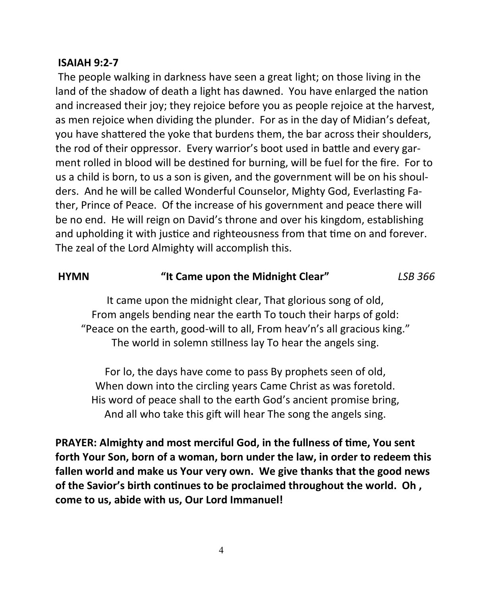### **ISAIAH 9:2-7**

The people walking in darkness have seen a great light; on those living in the land of the shadow of death a light has dawned. You have enlarged the nation and increased their joy; they rejoice before you as people rejoice at the harvest, as men rejoice when dividing the plunder. For as in the day of Midian's defeat, you have shattered the yoke that burdens them, the bar across their shoulders, the rod of their oppressor. Every warrior's boot used in battle and every garment rolled in blood will be destined for burning, will be fuel for the fire. For to us a child is born, to us a son is given, and the government will be on his shoulders. And he will be called Wonderful Counselor, Mighty God, Everlasting Father, Prince of Peace. Of the increase of his government and peace there will be no end. He will reign on David's throne and over his kingdom, establishing and upholding it with justice and righteousness from that time on and forever. The zeal of the Lord Almighty will accomplish this.

### **HYMN "It Came upon the Midnight Clear"** *LSB 366*

It came upon the midnight clear, That glorious song of old, From angels bending near the earth To touch their harps of gold: "Peace on the earth, good-will to all, From heav'n's all gracious king." The world in solemn stillness lay To hear the angels sing.

For lo, the days have come to pass By prophets seen of old, When down into the circling years Came Christ as was foretold. His word of peace shall to the earth God's ancient promise bring, And all who take this gift will hear The song the angels sing.

**PRAYER: Almighty and most merciful God, in the fullness of time, You sent forth Your Son, born of a woman, born under the law, in order to redeem this fallen world and make us Your very own. We give thanks that the good news of the Savior's birth continues to be proclaimed throughout the world. Oh , come to us, abide with us, Our Lord Immanuel!**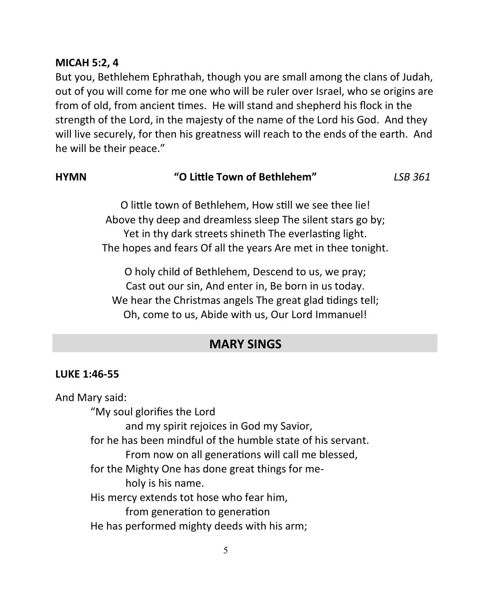### **MICAH 5:2, 4**

But you, Bethlehem Ephrathah, though you are small among the clans of Judah, out of you will come for me one who will be ruler over Israel, who se origins are from of old, from ancient times. He will stand and shepherd his flock in the strength of the Lord, in the majesty of the name of the Lord his God. And they will live securely, for then his greatness will reach to the ends of the earth. And he will be their peace."

# **HYMN "O Little Town of Bethlehem"** *LSB 361*

O little town of Bethlehem, How still we see thee lie! Above thy deep and dreamless sleep The silent stars go by; Yet in thy dark streets shineth The everlasting light. The hopes and fears Of all the years Are met in thee tonight.

O holy child of Bethlehem, Descend to us, we pray; Cast out our sin, And enter in, Be born in us today. We hear the Christmas angels The great glad tidings tell; Oh, come to us, Abide with us, Our Lord Immanuel!

# **MARY SINGS**

### **LUKE 1:46-55**

And Mary said:

"My soul glorifies the Lord

and my spirit rejoices in God my Savior,

for he has been mindful of the humble state of his servant.

From now on all generations will call me blessed,

for the Mighty One has done great things for me-

holy is his name.

His mercy extends tot hose who fear him,

from generation to generation

He has performed mighty deeds with his arm;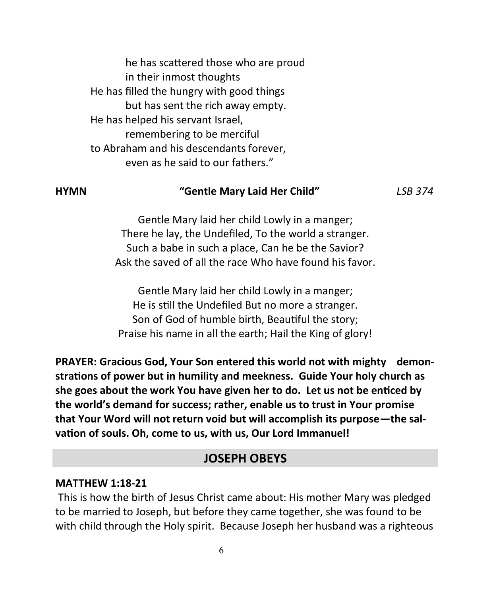he has scattered those who are proud in their inmost thoughts He has filled the hungry with good things but has sent the rich away empty. He has helped his servant Israel, remembering to be merciful to Abraham and his descendants forever, even as he said to our fathers."

### **HYMN "Gentle Mary Laid Her Child"** *LSB 374*

Gentle Mary laid her child Lowly in a manger; There he lay, the Undefiled, To the world a stranger. Such a babe in such a place, Can he be the Savior? Ask the saved of all the race Who have found his favor.

Gentle Mary laid her child Lowly in a manger; He is still the Undefiled But no more a stranger. Son of God of humble birth, Beautiful the story; Praise his name in all the earth; Hail the King of glory!

**PRAYER: Gracious God, Your Son entered this world not with mighty demonstrations of power but in humility and meekness. Guide Your holy church as she goes about the work You have given her to do. Let us not be enticed by the world's demand for success; rather, enable us to trust in Your promise that Your Word will not return void but will accomplish its purpose—the salvation of souls. Oh, come to us, with us, Our Lord Immanuel!**

### **JOSEPH OBEYS**

### **MATTHEW 1:18-21**

This is how the birth of Jesus Christ came about: His mother Mary was pledged to be married to Joseph, but before they came together, she was found to be with child through the Holy spirit. Because Joseph her husband was a righteous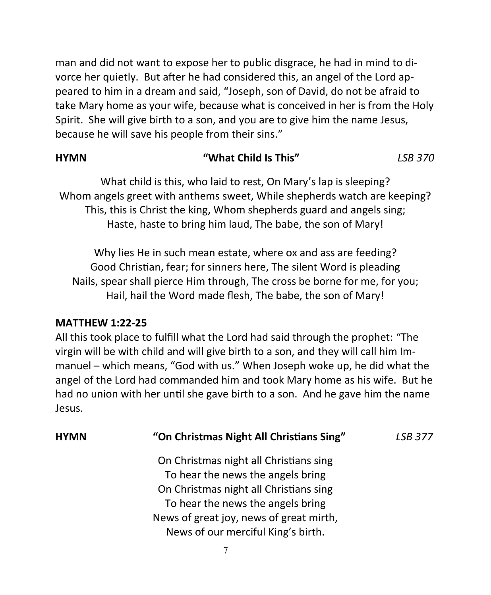man and did not want to expose her to public disgrace, he had in mind to divorce her quietly. But after he had considered this, an angel of the Lord appeared to him in a dream and said, "Joseph, son of David, do not be afraid to take Mary home as your wife, because what is conceived in her is from the Holy Spirit. She will give birth to a son, and you are to give him the name Jesus, because he will save his people from their sins."

# **HYMN "What Child Is This"** *LSB 370*

What child is this, who laid to rest, On Mary's lap is sleeping? Whom angels greet with anthems sweet, While shepherds watch are keeping? This, this is Christ the king, Whom shepherds guard and angels sing; Haste, haste to bring him laud, The babe, the son of Mary!

Why lies He in such mean estate, where ox and ass are feeding? Good Christian, fear; for sinners here, The silent Word is pleading Nails, spear shall pierce Him through, The cross be borne for me, for you; Hail, hail the Word made flesh, The babe, the son of Mary!

### **MATTHEW 1:22-25**

All this took place to fulfill what the Lord had said through the prophet: "The virgin will be with child and will give birth to a son, and they will call him Immanuel – which means, "God with us." When Joseph woke up, he did what the angel of the Lord had commanded him and took Mary home as his wife. But he had no union with her until she gave birth to a son. And he gave him the name Jesus.

# **HYMN "On Christmas Night All Christians Sing"** *LSB 377* On Christmas night all Christians sing To hear the news the angels bring On Christmas night all Christians sing To hear the news the angels bring News of great joy, news of great mirth, News of our merciful King's birth.

7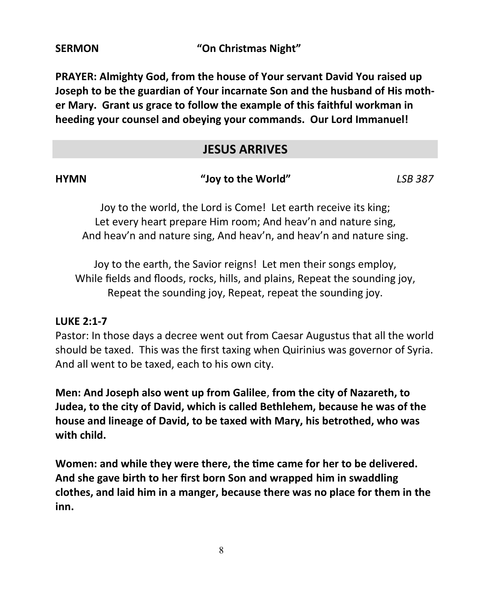**SERMON "On Christmas Night"**

**PRAYER: Almighty God, from the house of Your servant David You raised up Joseph to be the guardian of Your incarnate Son and the husband of His mother Mary. Grant us grace to follow the example of this faithful workman in heeding your counsel and obeying your commands. Our Lord Immanuel!**

## **JESUS ARRIVES**

### **HYMN "Joy to the World"** *LSB 387*

Joy to the world, the Lord is Come! Let earth receive its king; Let every heart prepare Him room; And heav'n and nature sing, And heav'n and nature sing, And heav'n, and heav'n and nature sing.

Joy to the earth, the Savior reigns! Let men their songs employ, While fields and floods, rocks, hills, and plains, Repeat the sounding joy, Repeat the sounding joy, Repeat, repeat the sounding joy.

### **LUKE 2:1-7**

Pastor: In those days a decree went out from Caesar Augustus that all the world should be taxed. This was the first taxing when Quirinius was governor of Syria. And all went to be taxed, each to his own city.

**Men: And Joseph also went up from Galilee**, **from the city of Nazareth, to Judea, to the city of David, which is called Bethlehem, because he was of the house and lineage of David, to be taxed with Mary, his betrothed, who was with child.** 

**Women: and while they were there, the time came for her to be delivered. And she gave birth to her first born Son and wrapped him in swaddling clothes, and laid him in a manger, because there was no place for them in the inn.**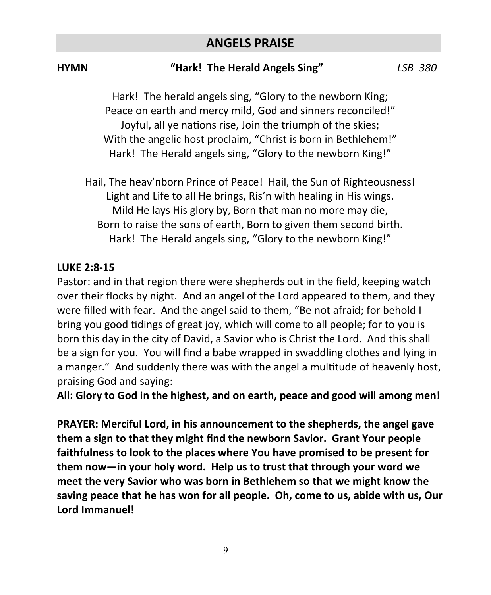## **ANGELS PRAISE**

### **HYMN "Hark! The Herald Angels Sing"** *LSB 380*

Hark! The herald angels sing, "Glory to the newborn King; Peace on earth and mercy mild, God and sinners reconciled!" Joyful, all ye nations rise, Join the triumph of the skies; With the angelic host proclaim, "Christ is born in Bethlehem!" Hark! The Herald angels sing, "Glory to the newborn King!"

Hail, The heav'nborn Prince of Peace! Hail, the Sun of Righteousness! Light and Life to all He brings, Ris'n with healing in His wings. Mild He lays His glory by, Born that man no more may die, Born to raise the sons of earth, Born to given them second birth. Hark! The Herald angels sing, "Glory to the newborn King!"

### **LUKE 2:8-15**

Pastor: and in that region there were shepherds out in the field, keeping watch over their flocks by night. And an angel of the Lord appeared to them, and they were filled with fear. And the angel said to them, "Be not afraid; for behold I bring you good tidings of great joy, which will come to all people; for to you is born this day in the city of David, a Savior who is Christ the Lord. And this shall be a sign for you. You will find a babe wrapped in swaddling clothes and lying in a manger." And suddenly there was with the angel a multitude of heavenly host, praising God and saying:

**All: Glory to God in the highest, and on earth, peace and good will among men!**

**PRAYER: Merciful Lord, in his announcement to the shepherds, the angel gave them a sign to that they might find the newborn Savior. Grant Your people faithfulness to look to the places where You have promised to be present for them now—in your holy word. Help us to trust that through your word we meet the very Savior who was born in Bethlehem so that we might know the saving peace that he has won for all people. Oh, come to us, abide with us, Our Lord Immanuel!**

9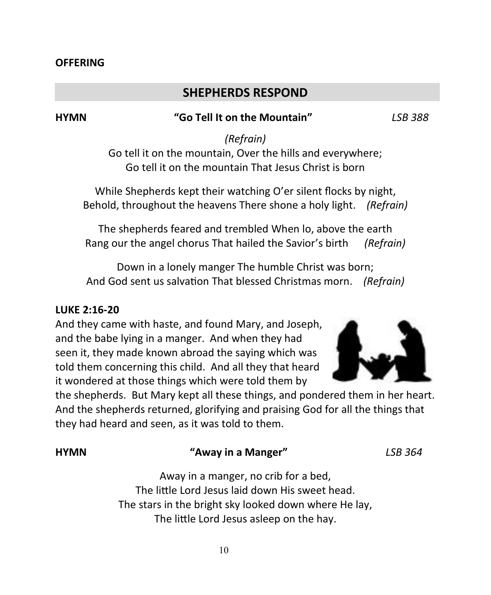### **OFFERING**

### **SHEPHERDS RESPOND**

### **HYMN "Go Tell It on the Mountain"** *LSB 388*

*(Refrain)*

Go tell it on the mountain, Over the hills and everywhere; Go tell it on the mountain That Jesus Christ is born

While Shepherds kept their watching O'er silent flocks by night, Behold, throughout the heavens There shone a holy light. *(Refrain)*

The shepherds feared and trembled When lo, above the earth Rang our the angel chorus That hailed the Savior's birth *(Refrain)*

Down in a lonely manger The humble Christ was born; And God sent us salvation That blessed Christmas morn. *(Refrain)*

### **LUKE 2:16-20**

And they came with haste, and found Mary, and Joseph, and the babe lying in a manger. And when they had seen it, they made known abroad the saying which was told them concerning this child. And all they that heard it wondered at those things which were told them by



the shepherds. But Mary kept all these things, and pondered them in her heart. And the shepherds returned, glorifying and praising God for all the things that they had heard and seen, as it was told to them.

### **HYMN "Away in a Manger"** *LSB 364*

Away in a manger, no crib for a bed, The little Lord Jesus laid down His sweet head. The stars in the bright sky looked down where He lay, The little Lord Jesus asleep on the hay.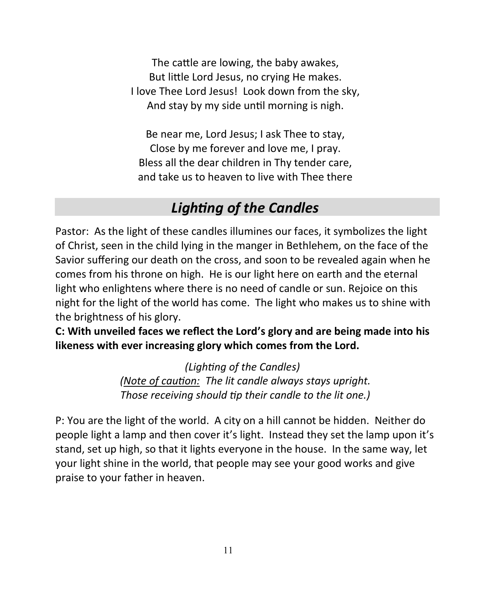The cattle are lowing, the baby awakes, But little Lord Jesus, no crying He makes. I love Thee Lord Jesus! Look down from the sky, And stay by my side until morning is nigh.

Be near me, Lord Jesus; I ask Thee to stay, Close by me forever and love me, I pray. Bless all the dear children in Thy tender care, and take us to heaven to live with Thee there

# *Lighting of the Candles*

Pastor: As the light of these candles illumines our faces, it symbolizes the light of Christ, seen in the child lying in the manger in Bethlehem, on the face of the Savior suffering our death on the cross, and soon to be revealed again when he comes from his throne on high. He is our light here on earth and the eternal light who enlightens where there is no need of candle or sun. Rejoice on this night for the light of the world has come. The light who makes us to shine with the brightness of his glory.

**C: With unveiled faces we reflect the Lord's glory and are being made into his likeness with ever increasing glory which comes from the Lord.** 

> *(Lighting of the Candles) (Note of caution: The lit candle always stays upright. Those receiving should tip their candle to the lit one.)*

P: You are the light of the world. A city on a hill cannot be hidden. Neither do people light a lamp and then cover it's light. Instead they set the lamp upon it's stand, set up high, so that it lights everyone in the house. In the same way, let your light shine in the world, that people may see your good works and give praise to your father in heaven.